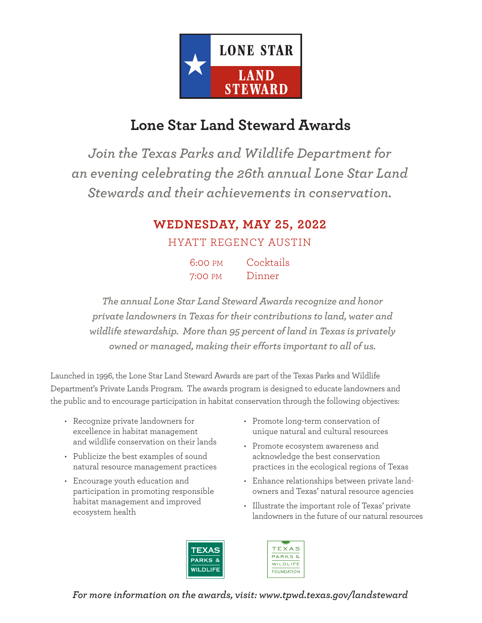

## **Lone Star Land Steward Awards**

*Join the Texas Parks and Wildlife Department for an evening celebrating the 26th annual Lone Star Land Stewards and their achievements in conservation.* 

#### **WEDNESDAY, MAY 25, 2022**

HYATT REGENCY AUSTIN

| 6:00 PM | Cocktails |
|---------|-----------|
| 7:00 PM | Dinner    |

*The annual Lone Star Land Steward Awards recognize and honor private landowners in Texas for their contributions to land, water and wildlife stewardship. More than 95 percent of land in Texas is privately owned or managed, making their efforts important to all of us.* 

Launched in 1996, the Lone Star Land Steward Awards are part of the Texas Parks and Wildlife Department's Private Lands Program. The awards program is designed to educate landowners and the public and to encourage participation in habitat conservation through the following objectives:

- Recognize private landowners for excellence in habitat management and wildlife conservation on their lands
- Publicize the best examples of sound natural resource management practices
- Encourage youth education and participation in promoting responsible habitat management and improved ecosystem health
- Promote long-term conservation of unique natural and cultural resources
- Promote ecosystem awareness and acknowledge the best conservation practices in the ecological regions of Texas
- Enhance relationships between private landowners and Texas' natural resource agencies
- Illustrate the important role of Texas' private landowners in the future of our natural resources





*For more information on the awards, visit: www.tpwd.texas.gov/landsteward*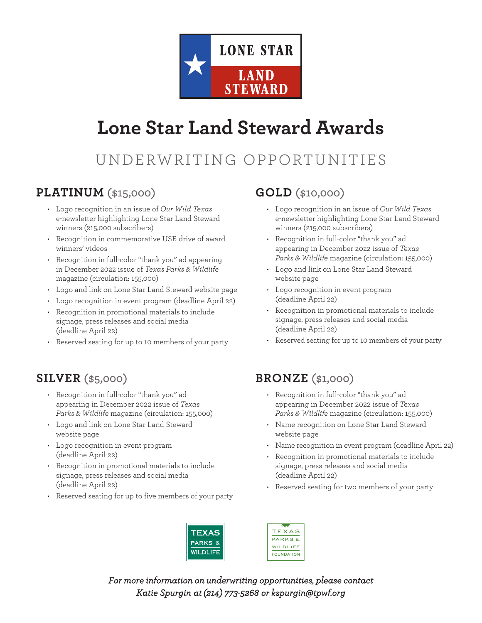

# **Lone Star Land Steward Awards**

# UNDERWRITING OPPORTUNITIES

#### **PLATINUM (\$15,000)**

- Logo recognition in an issue of *Our Wild Texas* e-newsletter highlighting Lone Star Land Steward winners (215,000 subscribers)
- Recognition in commemorative USB drive of award winners' videos
- Recognition in full-color "thank you" ad appearing in December 2022 issue of *Texas Parks & Wildlife* magazine (circulation: 155,000)
- Logo and link on Lone Star Land Steward website page
- Logo recognition in event program (deadline April 22)
- Recognition in promotional materials to include signage, press releases and social media (deadline April 22)
- Reserved seating for up to 10 members of your party

#### **SILVER (\$5,000)**

- Recognition in full-color "thank you" ad appearing in December 2022 issue of *Texas Parks & Wildlife* magazine (circulation: 155,000)
- Logo and link on Lone Star Land Steward website page
- Logo recognition in event program (deadline April 22)
- Recognition in promotional materials to include signage, press releases and social media (deadline April 22)
- Reserved seating for up to five members of your party

#### **GOLD (\$10,000)**

- Logo recognition in an issue of *Our Wild Texas* e-newsletter highlighting Lone Star Land Steward winners (215,000 subscribers)
- Recognition in full-color "thank you" ad appearing in December 2022 issue of *Texas Parks & Wildlife* magazine (circulation: 155,000)
- Logo and link on Lone Star Land Steward website page
- Logo recognition in event program (deadline April 22)
- Recognition in promotional materials to include signage, press releases and social media (deadline April 22)
- Reserved seating for up to 10 members of your party

#### **BRONZE (\$1,000)**

- Recognition in full-color "thank you" ad appearing in December 2022 issue of *Texas Parks & Wildlife* magazine (circulation: 155,000)
- Name recognition on Lone Star Land Steward website page
- Name recognition in event program (deadline April 22)
- Recognition in promotional materials to include signage, press releases and social media (deadline April 22)
- Reserved seating for two members of your party



TEXAS **PARKS &** WILDLIFE **FOUNDATION** 

*For more information on underwriting opportunities, please contact Katie Spurgin at (214) 773-5268 or kspurgin@tpwf.org*